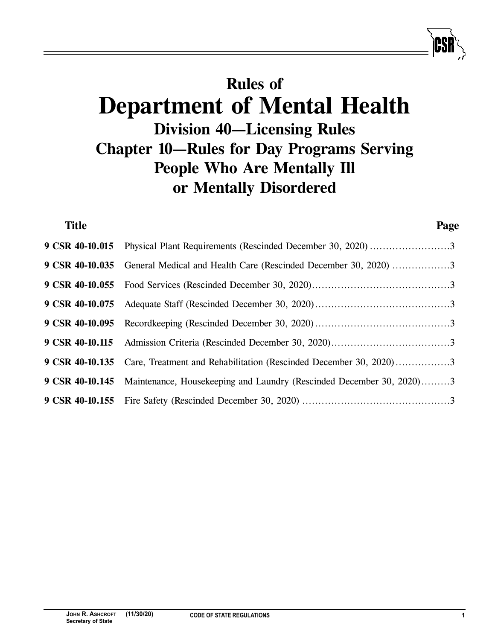# **Rules of Department of Mental Health Division 40—Licensing Rules Chapter 10—Rules for Day Programs Serving People Who Are Mentally Ill or Mentally Disordered**

| <b>Title</b>    |                                                                                             | Page |
|-----------------|---------------------------------------------------------------------------------------------|------|
| 9 CSR 40-10.015 |                                                                                             |      |
| 9 CSR 40-10.035 | General Medical and Health Care (Rescinded December 30, 2020) 3                             |      |
| 9 CSR 40-10.055 |                                                                                             |      |
| 9 CSR 40-10.075 |                                                                                             |      |
| 9 CSR 40-10.095 |                                                                                             |      |
| 9 CSR 40-10.115 |                                                                                             |      |
| 9 CSR 40-10.135 | Care, Treatment and Rehabilitation (Rescinded December 30, 2020)3                           |      |
|                 | <b>9 CSR 40-10.145</b> Maintenance, Housekeeping and Laundry (Rescinded December 30, 2020)3 |      |
|                 |                                                                                             |      |